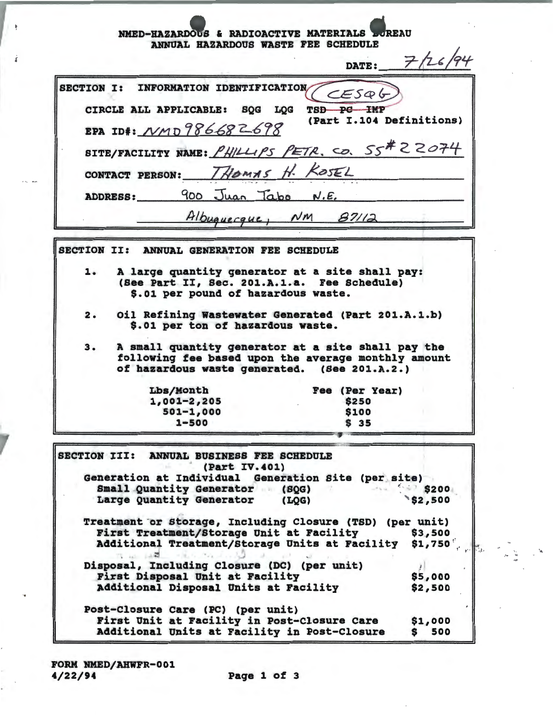## **NMED-HAZARDOUS & RADIOACTIVE MATERIALS BUREAU**

| кили о-ни<br>ARRUUUD & RADIUACIIVE MAIE<br>ANNUAL HAZARDOUS WASTE FEE SCHEDULE              |               |
|---------------------------------------------------------------------------------------------|---------------|
|                                                                                             | DATE: 7/26/94 |
| SECTION I: INFORMATION IDENTIFICATION<br>CESQG                                              |               |
|                                                                                             |               |
| CIRCLE ALL APPLICABLE: SQG LQG TSD PC IMP<br>(Part I.104 Definitions)                       |               |
| EPA ID#: NMD986682698                                                                       |               |
| SITE/FACILITY NAME: PHILLIPS PETR. CO. 55#22074                                             |               |
| CONTACT PERSON: THOMAS H. ROSEL                                                             |               |
| ADDRESS: 900 Juan Tabo N.E.                                                                 |               |
| Albuguerque, NM 87112                                                                       |               |
| SECTION II: ANNUAL GENERATION FEE SCHEDULE                                                  |               |
|                                                                                             |               |
| A large quantity generator at a site shall pay:<br>1.                                       |               |
| (See Part II, Sec. 201.A.1.a. Fee Schedule)                                                 |               |
| \$.01 per pound of hazardous waste.                                                         |               |
| Oil Refining Wastewater Generated (Part 201.A.1.b)<br>2.                                    |               |
| \$.01 per ton of hazardous waste.                                                           |               |
| 3.<br>A small quantity generator at a site shall pay the                                    |               |
| following fee based upon the average monthly amount                                         |               |
| of hazardous waste generated. (See 201.A.2.)                                                |               |
|                                                                                             |               |
| Lbs/Month<br><b>Fee (Per Year)</b>                                                          |               |
| $1,001-2,205$<br>\$250                                                                      |               |
| $501 - 1,000$<br>\$100<br>$1 - 500$<br>\$35                                                 |               |
|                                                                                             |               |
| SECTION III: ANNUAL BUSINESS FEE SCHEDULE<br>(Part IV.401)                                  |               |
| Generation at Individual Generation Site (per site)                                         |               |
| <b>Small Quantity Generator (8QG)</b>                                                       | \$200         |
| Large Quantity Generator (LQG)                                                              | \$2,500       |
| Treatment or Storage, Including Closure (TSD) (per unit)                                    |               |
| First Treatment/Storage Unit at Facility                                                    |               |
| Additional Treatment/Storage Units at Facility \$1,750                                      | \$3,500       |
| $7.11 - 1.2$                                                                                |               |
| Disposal, Including Closure (DC) (per unit)                                                 |               |
| First Disposal Unit at Facility                                                             | \$5,000       |
| Additional Disposal Units at Facility                                                       | \$2,500       |
| Post-Closure Care (PC) (per unit)                                                           |               |
| First Unit at Facility in Post-Closure Care<br>Additional Units at Facility in Post-Closure | \$1,000       |

FORM NMED/AHWFR-001 4/22/94 Page 1 of 3

上手

À